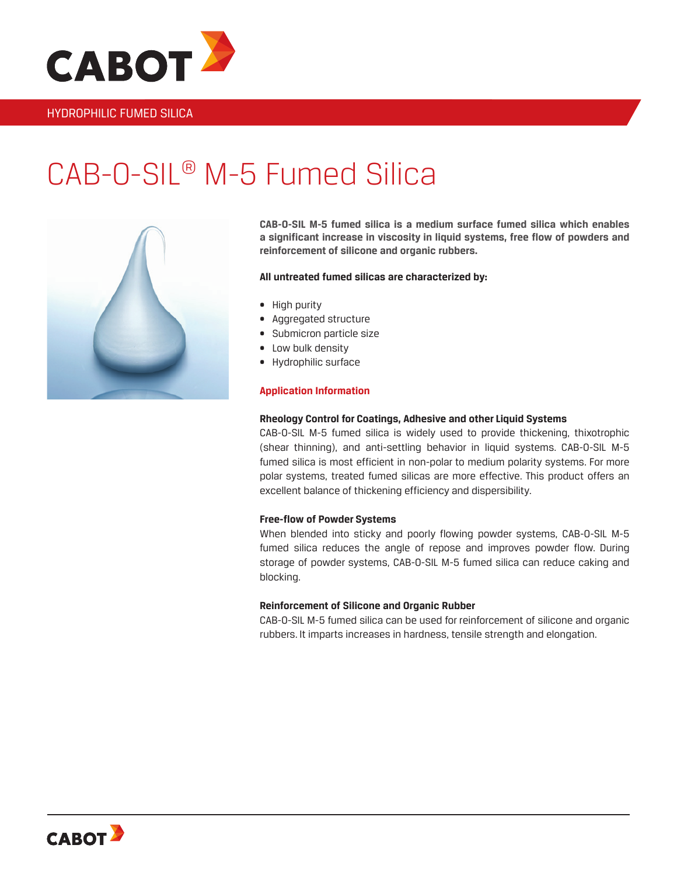

## HYDROPHILIC FUMED SILICA

# CAB-O-SIL® M-5 Fumed Silica



**CAB-O-SIL M-5 fumed silica is a medium surface fumed silica which enables a significant increase in viscosity in liquid systems, free flow of powders and reinforcement of silicone and organic rubbers.**

### **All untreated fumed silicas are characterized by:**

- High purity
- Aggregated structure
- Submicron particle size
- Low bulk density
- Hydrophilic surface

### **Application Information**

### **Rheology Control for Coatings, Adhesive and other Liquid Systems**

CAB-O-SIL M-5 fumed silica is widely used to provide thickening, thixotrophic (shear thinning), and anti-settling behavior in liquid systems. CAB-O-SIL M-5 fumed silica is most efficient in non-polar to medium polarity systems. For more polar systems, treated fumed silicas are more effective. This product offers an excellent balance of thickening efficiency and dispersibility.

### **Free-flow of Powder Systems**

When blended into sticky and poorly flowing powder systems, CAB-O-SIL M-5 fumed silica reduces the angle of repose and improves powder flow. During storage of powder systems, CAB-O-SIL M-5 fumed silica can reduce caking and blocking.

### **Reinforcement of Silicone and Organic Rubber**

CAB-O-SIL M-5 fumed silica can be used for reinforcement of silicone and organic rubbers. It imparts increases in hardness, tensile strength and elongation.